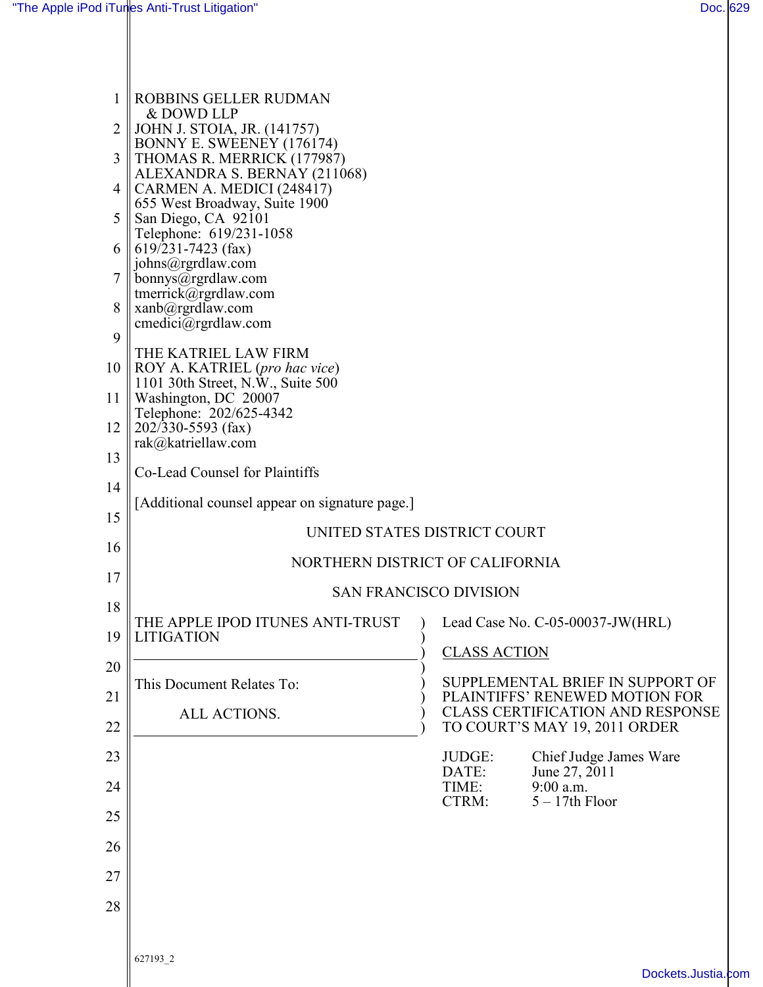| 1<br>2<br>3<br>4<br>5<br>6<br>$\overline{7}$<br>8<br>9 | ROBBINS GELLER RUDMAN<br>& DOWD LLP<br>   JOHN J. STOIA, JR. (141757)<br>BONNY E. SWEENEY (176174)<br>THOMAS R. MERRICK (177987)<br>ALEXANDRA S. BERNAY (211068)<br>CARMEN A. MEDICI (248417)<br>655 West Broadway, Suite 1900<br>San Diego, CA 92101<br>Telephone: 619/231-1058<br>$\ $ 619/231-7423 (fax)<br>johns@rgrdlaw.com<br>bonnys@rgrdlaw.com<br>tmerrick@rgrdlaw.com<br>$xan\sqrt{a}$ rgrdlaw.com<br>$c$ medici $@$ rgrdlaw.com |                                                                           |
|--------------------------------------------------------|-------------------------------------------------------------------------------------------------------------------------------------------------------------------------------------------------------------------------------------------------------------------------------------------------------------------------------------------------------------------------------------------------------------------------------------------|---------------------------------------------------------------------------|
| 10<br>11<br>12                                         | THE KATRIEL LAW FIRM<br>$\parallel$ ROY A. KATRIEL (pro hac vice)<br>1101 30th Street, N.W., Suite 500<br>Washington, DC 20007<br>Telephone: 202/625-4342<br>$202/330 - 5593$ (fax)<br>rak@katriellaw.com                                                                                                                                                                                                                                 |                                                                           |
| 13<br>14                                               | Co-Lead Counsel for Plaintiffs                                                                                                                                                                                                                                                                                                                                                                                                            |                                                                           |
| 15                                                     | [Additional counsel appear on signature page.]                                                                                                                                                                                                                                                                                                                                                                                            |                                                                           |
| 16                                                     | UNITED STATES DISTRICT COURT                                                                                                                                                                                                                                                                                                                                                                                                              |                                                                           |
| 17                                                     | NORTHERN DISTRICT OF CALIFORNIA                                                                                                                                                                                                                                                                                                                                                                                                           |                                                                           |
| 18                                                     | <b>SAN FRANCISCO DIVISION</b>                                                                                                                                                                                                                                                                                                                                                                                                             |                                                                           |
| 19                                                     | THE APPLE IPOD ITUNES ANTI-TRUST<br><b>LITIGATION</b>                                                                                                                                                                                                                                                                                                                                                                                     | Lead Case No. C-05-00037-JW(HRL)<br><b>CLASS ACTION</b>                   |
| 20                                                     | This Document Relates To:                                                                                                                                                                                                                                                                                                                                                                                                                 | SUPPLEMENTAL BRIEF IN SUPPORT OF                                          |
| 21                                                     | ALL ACTIONS.                                                                                                                                                                                                                                                                                                                                                                                                                              | PLAINTIFFS' RENEWED MOTION FOR<br><b>CLASS CERTIFICATION AND RESPONSE</b> |
| 22                                                     |                                                                                                                                                                                                                                                                                                                                                                                                                                           | TO COURT'S MAY 19, 2011 ORDER                                             |
| 23                                                     |                                                                                                                                                                                                                                                                                                                                                                                                                                           | Chief Judge James Ware<br>JUDGE:<br>June 27, 2011<br>DATE:<br>9:00 a.m.   |
| 24                                                     |                                                                                                                                                                                                                                                                                                                                                                                                                                           | TIME:<br>$5 - 17$ th Floor<br>CTRM:                                       |
| 25                                                     |                                                                                                                                                                                                                                                                                                                                                                                                                                           |                                                                           |
| 26                                                     |                                                                                                                                                                                                                                                                                                                                                                                                                                           |                                                                           |
| 27                                                     |                                                                                                                                                                                                                                                                                                                                                                                                                                           |                                                                           |
| 28                                                     |                                                                                                                                                                                                                                                                                                                                                                                                                                           |                                                                           |
|                                                        | 627193_2                                                                                                                                                                                                                                                                                                                                                                                                                                  | Dockets.Justia.com                                                        |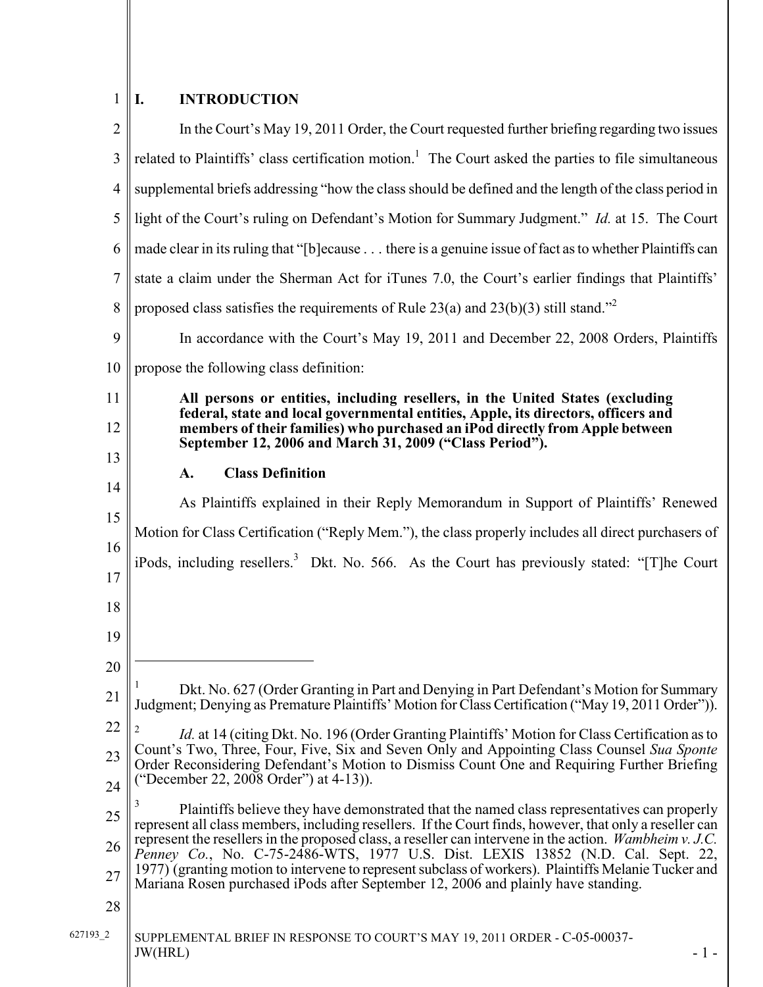#### $1$  | I. **INTRODUCTION**

| $\overline{2}$ | In the Court's May 19, 2011 Order, the Court requested further briefing regarding two issues                                                                                                           |  |  |
|----------------|--------------------------------------------------------------------------------------------------------------------------------------------------------------------------------------------------------|--|--|
| 3              | related to Plaintiffs' class certification motion. <sup>1</sup> The Court asked the parties to file simultaneous                                                                                       |  |  |
| $\overline{4}$ | supplemental briefs addressing "how the class should be defined and the length of the class period in                                                                                                  |  |  |
| 5              | light of the Court's ruling on Defendant's Motion for Summary Judgment." Id. at 15. The Court                                                                                                          |  |  |
| 6              | made clear in its ruling that "[b]ecause there is a genuine issue of fact as to whether Plaintiffs can                                                                                                 |  |  |
| 7              | state a claim under the Sherman Act for iTunes 7.0, the Court's earlier findings that Plaintiffs'                                                                                                      |  |  |
| 8              | proposed class satisfies the requirements of Rule 23(a) and 23(b)(3) still stand." <sup>2</sup>                                                                                                        |  |  |
| 9              | In accordance with the Court's May 19, 2011 and December 22, 2008 Orders, Plaintiffs                                                                                                                   |  |  |
| 10             | propose the following class definition:                                                                                                                                                                |  |  |
| 11             | All persons or entities, including resellers, in the United States (excluding<br>federal, state and local governmental entities, Apple, its directors, officers and                                    |  |  |
| 12             | members of their families) who purchased an iPod directly from Apple between<br>September 12, 2006 and March 31, 2009 ("Class Period").                                                                |  |  |
| 13             | <b>Class Definition</b><br>A.                                                                                                                                                                          |  |  |
| 14             | As Plaintiffs explained in their Reply Memorandum in Support of Plaintiffs' Renewed                                                                                                                    |  |  |
| 15             | Motion for Class Certification ("Reply Mem."), the class properly includes all direct purchasers of                                                                                                    |  |  |
| 16             |                                                                                                                                                                                                        |  |  |
| 17             | iPods, including resellers. <sup>3</sup> Dkt. No. 566. As the Court has previously stated: "[T]he Court                                                                                                |  |  |
| 18             |                                                                                                                                                                                                        |  |  |
| 19             |                                                                                                                                                                                                        |  |  |
| 20             |                                                                                                                                                                                                        |  |  |
| 21             | Dkt. No. 627 (Order Granting in Part and Denying in Part Defendant's Motion for Summary<br>Judgment; Denying as Premature Plaintiffs' Motion for Class Certification ("May 19, 2011 Order")).          |  |  |
| 22             | <i>Id.</i> at 14 (citing Dkt. No. 196 (Order Granting Plaintiffs' Motion for Class Certification as to                                                                                                 |  |  |
| 23             | Count's Two, Three, Four, Five, Six and Seven Only and Appointing Class Counsel Sua Sponte<br>Order Reconsidering Defendant's Motion to Dismiss Count One and Requiring Further Briefing               |  |  |
| 24             | ("December 22, 2008 Order") at 4-13)).                                                                                                                                                                 |  |  |
| 25             | Plaintiffs believe they have demonstrated that the named class representatives can properly<br>represent all class members, including resellers. If the Court finds, however, that only a reseller can |  |  |
| 26             |                                                                                                                                                                                                        |  |  |
|                | represent the resellers in the proposed class, a reseller can intervene in the action. Wambheim v. J.C.<br>Penney Co., No. C-75-2486-WTS, 1977 U.S. Dist. LEXIS 13852 (N.D. Cal. Sept. 22,             |  |  |
| 27             | 1977) (granting motion to intervene to represent subclass of workers). Plaintiffs Melanie Tucker and<br>Mariana Rosen purchased iPods after September 12, 2006 and plainly have standing.              |  |  |
| 28             |                                                                                                                                                                                                        |  |  |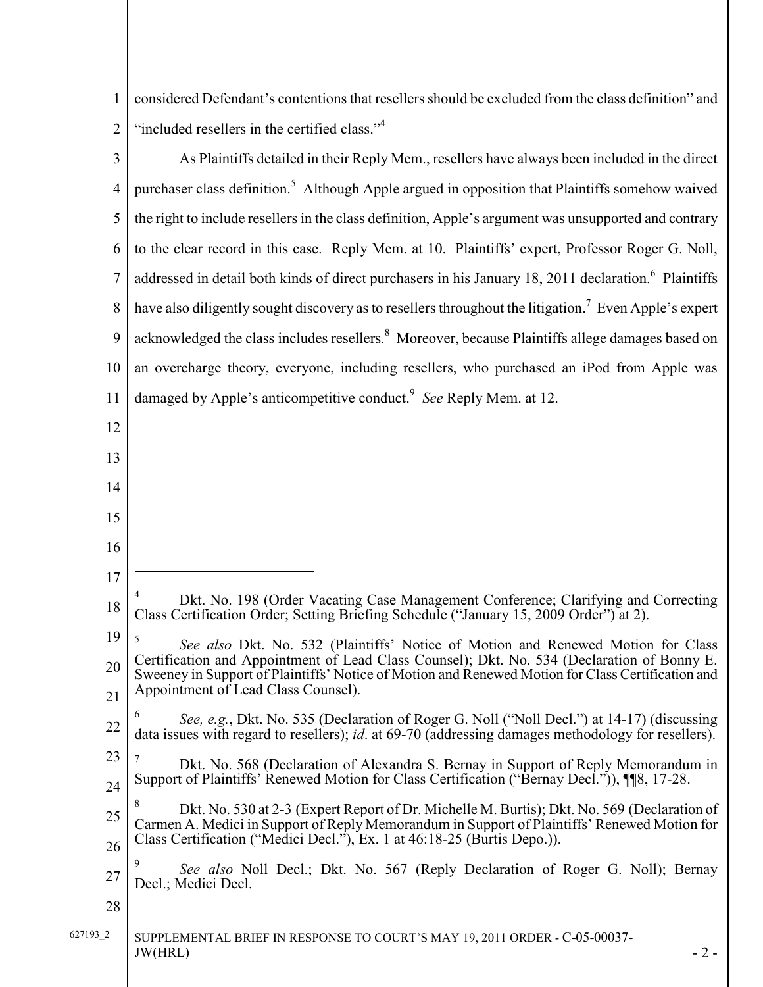1 considered Defendant's contentions that resellers should be excluded from the class definition" and 2 || "included resellers in the certified class."<sup>4</sup>

| 3              | As Plaintiffs detailed in their Reply Mem., resellers have always been included in the direct                                                                                                                                                                           |
|----------------|-------------------------------------------------------------------------------------------------------------------------------------------------------------------------------------------------------------------------------------------------------------------------|
| $\overline{4}$ | purchaser class definition. <sup>5</sup> Although Apple argued in opposition that Plaintiffs somehow waived                                                                                                                                                             |
| 5              | the right to include resellers in the class definition, Apple's argument was unsupported and contrary                                                                                                                                                                   |
| 6              | to the clear record in this case. Reply Mem. at 10. Plaintiffs' expert, Professor Roger G. Noll,                                                                                                                                                                        |
| $\overline{7}$ | addressed in detail both kinds of direct purchasers in his January 18, 2011 declaration. <sup>6</sup> Plaintiffs                                                                                                                                                        |
| 8              | have also diligently sought discovery as to resellers throughout the litigation. <sup>7</sup> Even Apple's expert                                                                                                                                                       |
| 9              | acknowledged the class includes resellers. <sup>8</sup> Moreover, because Plaintiffs allege damages based on                                                                                                                                                            |
| 10             | an overcharge theory, everyone, including resellers, who purchased an iPod from Apple was                                                                                                                                                                               |
| 11             | damaged by Apple's anticompetitive conduct. <sup>9</sup> See Reply Mem. at 12.                                                                                                                                                                                          |
| 12             |                                                                                                                                                                                                                                                                         |
| 13             |                                                                                                                                                                                                                                                                         |
| 14             |                                                                                                                                                                                                                                                                         |
| 15             |                                                                                                                                                                                                                                                                         |
| 16             |                                                                                                                                                                                                                                                                         |
| 17             |                                                                                                                                                                                                                                                                         |
| 18             | Dkt. No. 198 (Order Vacating Case Management Conference; Clarifying and Correcting<br>Class Certification Order; Setting Briefing Schedule ("January 15, 2009 Order") at 2).                                                                                            |
| 19             | See also Dkt. No. 532 (Plaintiffs' Notice of Motion and Renewed Motion for Class<br>Certification and Appointment of Lead Class Counsel); Dkt. No. 534 (Declaration of Bonny E.                                                                                         |
| 20<br>21       | Sweeney in Support of Plaintiffs' Notice of Motion and Renewed Motion for Class Certification and<br>Appointment of Lead Class Counsel).                                                                                                                                |
| 22             | See, e.g., Dkt. No. 535 (Declaration of Roger G. Noll ("Noll Decl.") at 14-17) (discussing<br>data issues with regard to resellers); <i>id.</i> at 69-70 (addressing damages methodology for resellers).                                                                |
| 23             | Dkt. No. 568 (Declaration of Alexandra S. Bernay in Support of Reply Memorandum in                                                                                                                                                                                      |
| 24             | Support of Plaintiffs' Renewed Motion for Class Certification ("Bernay Decl.")), $\P$ [8, 17-28.                                                                                                                                                                        |
| 25             | Dkt. No. 530 at 2-3 (Expert Report of Dr. Michelle M. Burtis); Dkt. No. 569 (Declaration of<br>Carmen A. Medici in Support of Reply Memorandum in Support of Plaintiffs' Renewed Motion for<br>Class Certification ("Medici Decl."), Ex. 1 at 46:18-25 (Burtis Depo.)). |
| 26<br>27       | See also Noll Decl.; Dkt. No. 567 (Reply Declaration of Roger G. Noll); Bernay<br>Decl.; Medici Decl.                                                                                                                                                                   |
| 28             |                                                                                                                                                                                                                                                                         |
| 627193 2       | SUPPLEMENTAL BRIEF IN RESPONSE TO COURT'S MAY 19, 2011 ORDER - C-05-00037-<br>JW(HRL)<br>$-2-$                                                                                                                                                                          |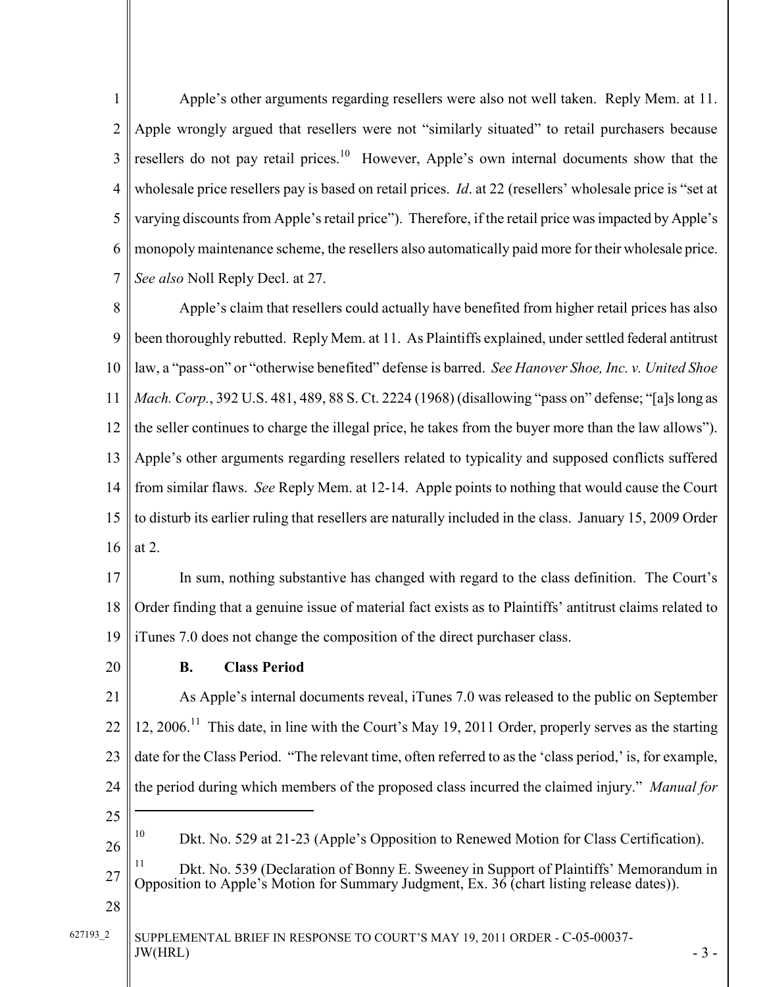1 2 3 4 5 6 7 Apple's other arguments regarding resellers were also not well taken. Reply Mem. at 11. Apple wrongly argued that resellers were not "similarly situated" to retail purchasers because resellers do not pay retail prices.<sup>10</sup> However, Apple's own internal documents show that the wholesale price resellers pay is based on retail prices. *Id.* at 22 (resellers' wholesale price is "set at varying discounts from Apple's retail price"). Therefore, if the retail price was impacted by Apple's monopoly maintenance scheme, the resellers also automatically paid more for their wholesale price. See also Noll Reply Decl. at 27.

8 9 10 11 12 13 14 15 16 Apple's claim that resellers could actually have benefited from higher retail prices has also been thoroughly rebutted. Reply Mem. at 11. As Plaintiffs explained, under settled federal antitrust law, a "pass-on" or "otherwise benefited" defense is barred. See Hanover Shoe, Inc. v. United Shoe Mach. Corp., 392 U.S. 481, 489, 88 S. Ct. 2224 (1968) (disallowing "pass on" defense; "[a]s long as the seller continues to charge the illegal price, he takes from the buyer more than the law allows"). Apple's other arguments regarding resellers related to typicality and supposed conflicts suffered from similar flaws. See Reply Mem. at 12-14. Apple points to nothing that would cause the Court to disturb its earlier ruling that resellers are naturally included in the class. January 15, 2009 Order at 2.

17 18 19 In sum, nothing substantive has changed with regard to the class definition. The Court's Order finding that a genuine issue of material fact exists as to Plaintiffs' antitrust claims related to iTunes 7.0 does not change the composition of the direct purchaser class.

20

### B. Class Period

21 22 23 24 25 26 27 As Apple's internal documents reveal, iTunes 7.0 was released to the public on September 12, 2006.<sup>11</sup> This date, in line with the Court's May 19, 2011 Order, properly serves as the starting date for the Class Period. "The relevant time, often referred to as the 'class period,' is, for example, the period during which members of the proposed class incurred the claimed injury." Manual for <u>.</u> <sup>10</sup> Dkt. No. 529 at 21-23 (Apple's Opposition to Renewed Motion for Class Certification). <sup>11</sup> Dkt. No. 539 (Declaration of Bonny E. Sweeney in Support of Plaintiffs' Memorandum in Opposition to Apple's Motion for Summary Judgment, Ex. 36 (chart listing release dates)).

28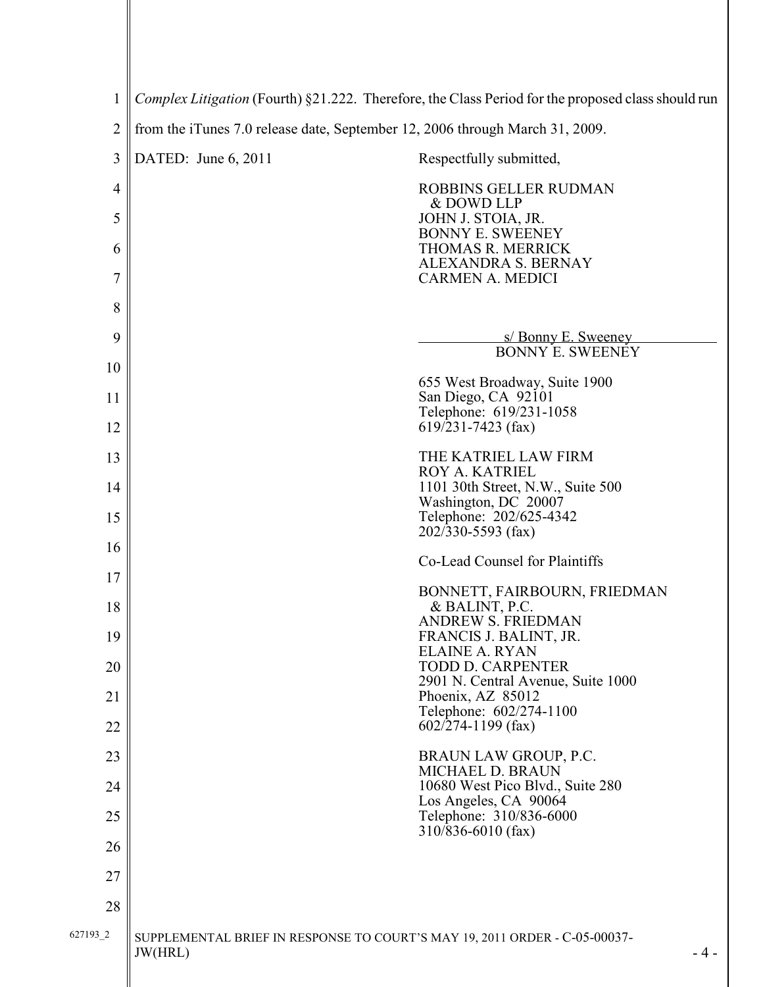| $\mathbf{1}$             | Complex Litigation (Fourth) §21.222. Therefore, the Class Period for the proposed class should run |                                                           |  |
|--------------------------|----------------------------------------------------------------------------------------------------|-----------------------------------------------------------|--|
| $\overline{2}$           | from the iTunes 7.0 release date, September 12, 2006 through March 31, 2009.                       |                                                           |  |
| 3                        | DATED: June 6, 2011                                                                                | Respectfully submitted,                                   |  |
| $\overline{\mathcal{A}}$ |                                                                                                    | ROBBINS GELLER RUDMAN<br>& DOWD LLP                       |  |
| 5                        |                                                                                                    | JOHN J. STOIA, JR.<br><b>BONNY E. SWEENEY</b>             |  |
| 6                        |                                                                                                    | THOMAS R. MERRICK<br><b>ALEXANDRA S. BERNAY</b>           |  |
| 7                        |                                                                                                    | <b>CARMEN A. MEDICI</b>                                   |  |
| 8                        |                                                                                                    |                                                           |  |
| 9                        |                                                                                                    | s/ Bonny E. Sweeney<br>BONNY E. SWEENEY                   |  |
| 10                       |                                                                                                    | 655 West Broadway, Suite 1900                             |  |
| 11                       |                                                                                                    | San Diego, CA 92101<br>Telephone: 619/231-1058            |  |
| 12                       |                                                                                                    | $619/231 - 7423$ (fax)                                    |  |
| 13                       |                                                                                                    | THE KATRIEL LAW FIRM<br>ROY A. KATRIEL                    |  |
| 14                       |                                                                                                    | 1101 30th Street, N.W., Suite 500<br>Washington, DC 20007 |  |
| 15                       |                                                                                                    | Telephone: 202/625-4342<br>$202/330 - 5593$ (fax)         |  |
| 16                       |                                                                                                    | Co-Lead Counsel for Plaintiffs                            |  |
| 17<br>18                 |                                                                                                    | BONNETT, FAIRBOURN, FRIEDMAN<br>& BALINT, P.C.            |  |
| 19                       |                                                                                                    | <b>ANDREW S. FRIEDMAN</b><br>FRANCIS J. BALINT, JR.       |  |
| 20                       |                                                                                                    | <b>ELAINE A. RYAN</b><br><b>TODD D. CARPENTER</b>         |  |
| 21                       |                                                                                                    | 2901 N. Central Avenue, Suite 1000<br>Phoenix, AZ 85012   |  |
| 22                       |                                                                                                    | Telephone: 602/274-1100<br>$602/274 - 1199$ (fax)         |  |
| 23                       |                                                                                                    | BRAUN LAW GROUP, P.C.                                     |  |
| 24                       |                                                                                                    | MICHAEL D. BRAUN<br>10680 West Pico Blvd., Suite 280      |  |
| 25                       |                                                                                                    | Los Angeles, CA 90064<br>Telephone: 310/836-6000          |  |
| 26                       |                                                                                                    | $310\sqrt{836-6010}$ (fax)                                |  |
| 27                       |                                                                                                    |                                                           |  |
| 28                       |                                                                                                    |                                                           |  |
| 627193_2                 | SUPPLEMENTAL BRIEF IN RESPONSE TO COURT'S MAY 19, 2011 ORDER - C-05-00037-<br>JW(HRL)              | $-4-$                                                     |  |
|                          |                                                                                                    |                                                           |  |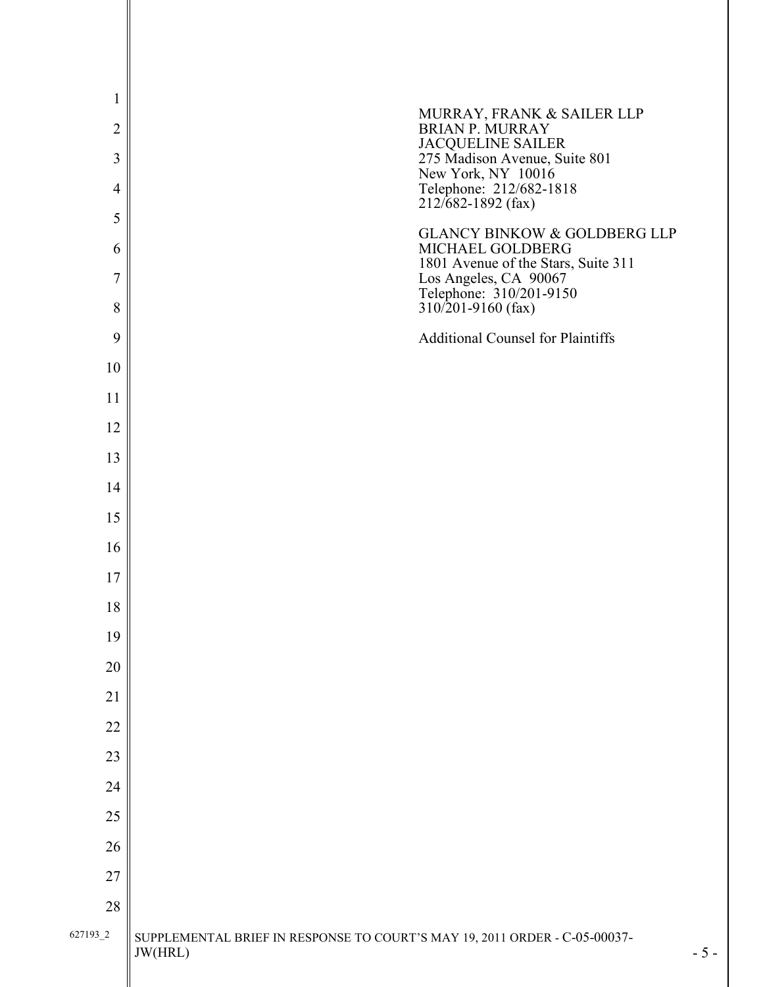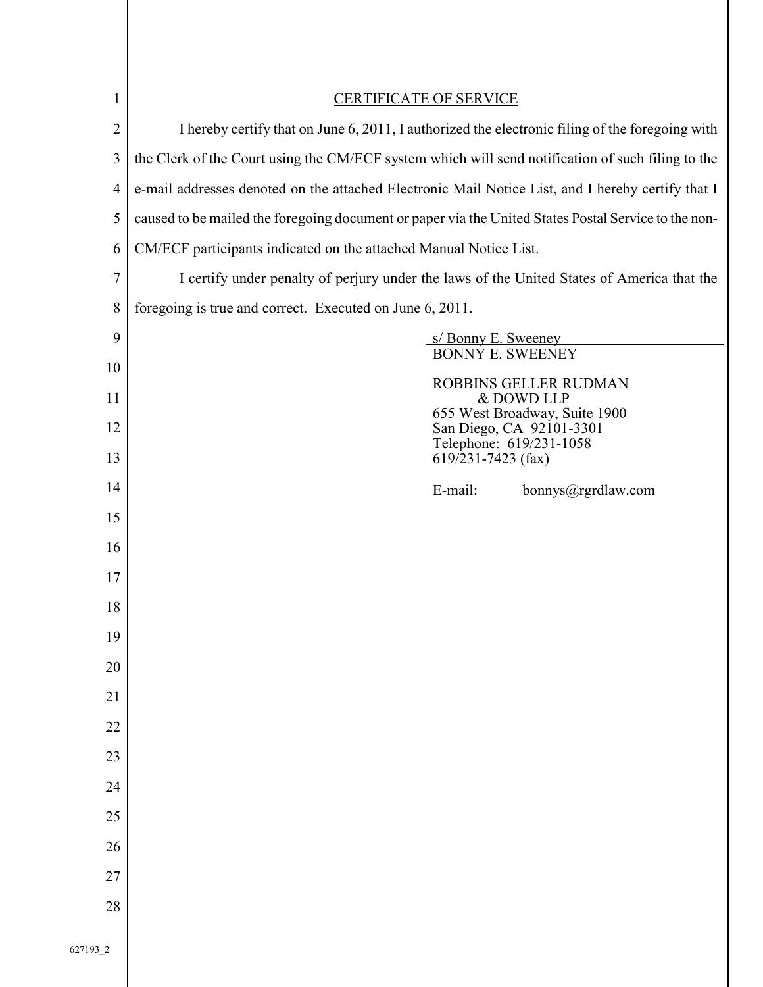| $\mathbf{1}$   | <b>CERTIFICATE OF SERVICE</b>                                                                        |  |  |
|----------------|------------------------------------------------------------------------------------------------------|--|--|
| $\overline{2}$ | I hereby certify that on June 6, 2011, I authorized the electronic filing of the foregoing with      |  |  |
| 3              | the Clerk of the Court using the CM/ECF system which will send notification of such filing to the    |  |  |
| 4              | e-mail addresses denoted on the attached Electronic Mail Notice List, and I hereby certify that I    |  |  |
| 5              | caused to be mailed the foregoing document or paper via the United States Postal Service to the non- |  |  |
| 6              | CM/ECF participants indicated on the attached Manual Notice List.                                    |  |  |
| $\overline{7}$ | I certify under penalty of perjury under the laws of the United States of America that the           |  |  |
| 8              | foregoing is true and correct. Executed on June 6, 2011.                                             |  |  |
| 9              | s/Bonny E. Sweeney<br>BONNÝ E. SWEENEY                                                               |  |  |
| 10             | <b>ROBBINS GELLER RUDMAN</b>                                                                         |  |  |
| 11             | & DOWD LLP                                                                                           |  |  |
| 12             | 655 West Broadway, Suite 1900<br>San Diego, CA 92101-3301                                            |  |  |
| 13             | Telephone: 619/231-1058<br>$619/231 - 7423$ (fax)                                                    |  |  |
| 14             | E-mail:<br>bonnys@rgrdlaw.com                                                                        |  |  |
| 15             |                                                                                                      |  |  |
| 16             |                                                                                                      |  |  |
| 17             |                                                                                                      |  |  |
| 18             |                                                                                                      |  |  |
| 19             |                                                                                                      |  |  |
| 20             |                                                                                                      |  |  |
| 21             |                                                                                                      |  |  |
| 22             |                                                                                                      |  |  |
| 23             |                                                                                                      |  |  |
| 24             |                                                                                                      |  |  |
| 25             |                                                                                                      |  |  |
| 26             |                                                                                                      |  |  |
| 27             |                                                                                                      |  |  |
| 28             |                                                                                                      |  |  |
|                |                                                                                                      |  |  |
| 627193_2       |                                                                                                      |  |  |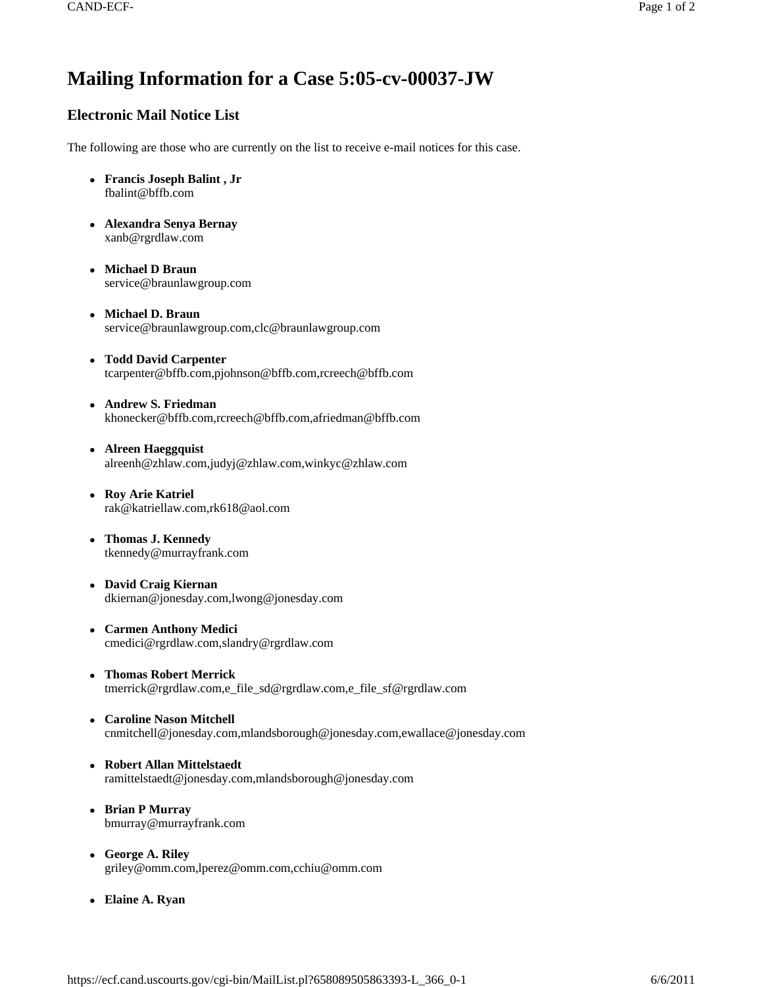# **Mailing Information for a Case 5:05-cv-00037-JW**

## **Electronic Mail Notice List**

The following are those who are currently on the list to receive e-mail notices for this case.

- <sup>z</sup> **Francis Joseph Balint , Jr** fbalint@bffb.com
- <sup>z</sup> **Alexandra Senya Bernay**  xanb@rgrdlaw.com
- <sup>z</sup> **Michael D Braun**  service@braunlawgroup.com
- <sup>z</sup> **Michael D. Braun**  service@braunlawgroup.com,clc@braunlawgroup.com
- <sup>z</sup> **Todd David Carpenter**  tcarpenter@bffb.com,pjohnson@bffb.com,rcreech@bffb.com
- <sup>z</sup> **Andrew S. Friedman**  khonecker@bffb.com,rcreech@bffb.com,afriedman@bffb.com
- Alreen Haeggquist alreenh@zhlaw.com,judyj@zhlaw.com,winkyc@zhlaw.com
- <sup>z</sup> **Roy Arie Katriel**  rak@katriellaw.com,rk618@aol.com
- <sup>z</sup> **Thomas J. Kennedy**  tkennedy@murrayfrank.com
- David Craig Kiernan dkiernan@jonesday.com,lwong@jonesday.com
- <sup>z</sup> **Carmen Anthony Medici**  cmedici@rgrdlaw.com,slandry@rgrdlaw.com
- <sup>z</sup> **Thomas Robert Merrick**  tmerrick@rgrdlaw.com,e\_file\_sd@rgrdlaw.com,e\_file\_sf@rgrdlaw.com
- <sup>z</sup> **Caroline Nason Mitchell**  cnmitchell@jonesday.com,mlandsborough@jonesday.com,ewallace@jonesday.com
- <sup>z</sup> **Robert Allan Mittelstaedt**  ramittelstaedt@jonesday.com,mlandsborough@jonesday.com
- <sup>z</sup> **Brian P Murray**  bmurray@murrayfrank.com
- <sup>z</sup> **George A. Riley**  griley@omm.com,lperez@omm.com,cchiu@omm.com
- Elaine A. Ryan